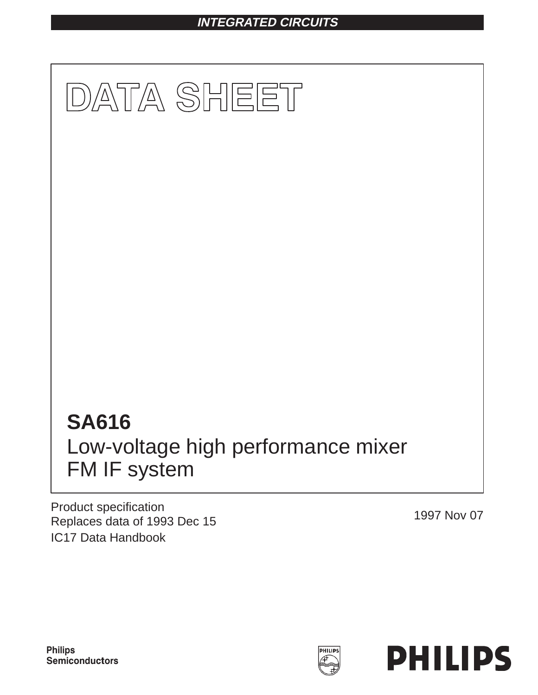# **INTEGRATED CIRCUITS**



Product specification Replaces data of 1993 Dec 15 1997 Nov 07 IC17 Data Handbook

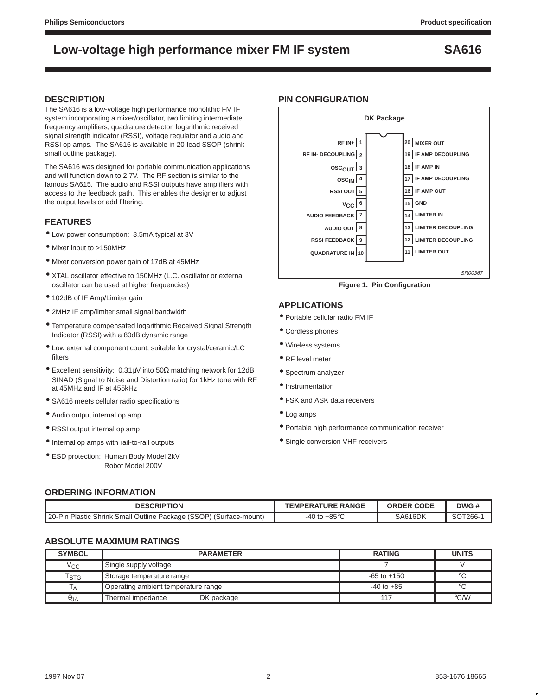### **DESCRIPTION**

The SA616 is a low-voltage high performance monolithic FM IF system incorporating a mixer/oscillator, two limiting intermediate frequency amplifiers, quadrature detector, logarithmic received signal strength indicator (RSSI), voltage regulator and audio and RSSI op amps. The SA616 is available in 20-lead SSOP (shrink small outline package).

The SA616 was designed for portable communication applications and will function down to 2.7V. The RF section is similar to the famous SA615. The audio and RSSI outputs have amplifiers with access to the feedback path. This enables the designer to adjust the output levels or add filtering.

### **FEATURES**

- Low power consumption: 3.5mA typical at 3V
- Mixer input to >150MHz
- Mixer conversion power gain of 17dB at 45MHz
- XTAL oscillator effective to 150MHz (L.C. oscillator or external oscillator can be used at higher frequencies)
- 102dB of IF Amp/Limiter gain
- 2MHz IF amp/limiter small signal bandwidth
- Temperature compensated logarithmic Received Signal Strength Indicator (RSSI) with a 80dB dynamic range
- Low external component count; suitable for crystal/ceramic/LC filters
- Excellent sensitivity: 0.31µV into 50Ω matching network for 12dB SINAD (Signal to Noise and Distortion ratio) for 1kHz tone with RF at 45MHz and IF at 455kHz
- SA616 meets cellular radio specifications
- Audio output internal op amp
- RSSI output internal op amp
- Internal op amps with rail-to-rail outputs
- ESD protection: Human Body Model 2kV Robot Model 200V

### **PIN CONFIGURATION**



**Figure 1. Pin Configuration**

### **APPLICATIONS**

- Portable cellular radio FM IF
- Cordless phones
- Wireless systems
- RF level meter
- Spectrum analyzer
- Instrumentation
- FSK and ASK data receivers
- Log amps
- Portable high performance communication receiver
- Single conversion VHF receivers

### **ORDERING INFORMATION**

| <b>DESCRIPTION</b>                                                      | <b>TEMPERATURE RANGE</b> | <b>CODE</b><br>ORDER | DWG#    |
|-------------------------------------------------------------------------|--------------------------|----------------------|---------|
| n Plastic Shrink Small Outline Package (SSOP) (Surface-mount)<br>20-Pin | , +85°⊆<br>۱ to<br>-40   | SA616DK              | SOT266- |

### **ABSOLUTE MAXIMUM RATINGS**

| <b>SYMBOL</b>               | <b>PARAMETER</b>                    | <b>RATING</b>   | <b>UNITS</b>  |  |
|-----------------------------|-------------------------------------|-----------------|---------------|--|
| Vcc                         | Single supply voltage               |                 |               |  |
| $\mathsf{r}_{\texttt{STG}}$ | Storage temperature range           | $-65$ to $+150$ | ഻             |  |
| l A                         | Operating ambient temperature range | $-40$ to $+85$  | $\circ$       |  |
| $\theta$ JA                 | Thermal impedance<br>DK package     | 117             | $\degree$ C/W |  |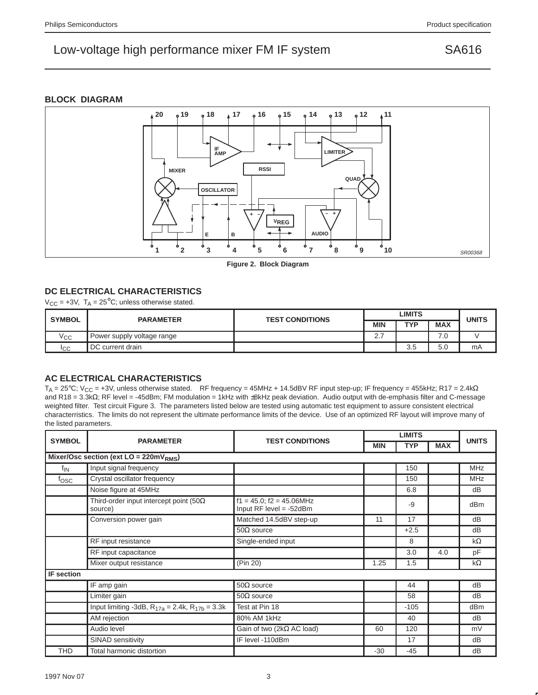### **BLOCK DIAGRAM**



**Figure 2. Block Diagram**

### **DC ELECTRICAL CHARACTERISTICS**

 $V_{CC}$  = +3V,  $T_A$  = 25<sup>°</sup>C; unless otherwise stated.

| <b>SYMBOL</b>  | <b>PARAMETER</b>           | <b>TEST CONDITIONS</b> | LIMITS   |            |            | <b>UNITS</b> |
|----------------|----------------------------|------------------------|----------|------------|------------|--------------|
|                |                            |                        | MIN      | <b>TYP</b> | <b>MAX</b> |              |
| $V_{\rm CC}$   | Power supply voltage range |                        | <u>.</u> |            | .u         |              |
| <sub>ICC</sub> | DC current drain           |                        |          | 25<br>v.u  | 5.0        | mA           |

### **AC ELECTRICAL CHARACTERISTICS**

T<sub>A</sub> = 25°C; V<sub>CC</sub> = +3V, unless otherwise stated. RF frequency = 45MHz + 14.5dBV RF input step-up; IF frequency = 455kHz; R17 = 2.4k $\Omega$ and R18 = 3.3kΩ; RF level = -45dBm; FM modulation = 1kHz with ±8kHz peak deviation. Audio output with de-emphasis filter and C-message weighted filter. Test circuit Figure 3. The parameters listed below are tested using automatic test equipment to assure consistent electrical characterristics. The limits do not represent the ultimate performance limits of the device. Use of an optimized RF layout will improve many of the listed parameters.

| <b>SYMBOL</b>     | <b>PARAMETER</b>                                          | <b>TEST CONDITIONS</b>                                        | <b>LIMITS</b> |            |            |                 |
|-------------------|-----------------------------------------------------------|---------------------------------------------------------------|---------------|------------|------------|-----------------|
|                   |                                                           |                                                               | <b>MIN</b>    | <b>TYP</b> | <b>MAX</b> | <b>UNITS</b>    |
|                   | Mixer/Osc section (ext $LO = 220mVRMS$ )                  |                                                               |               |            |            |                 |
| f <sub>IN</sub>   | Input signal frequency                                    |                                                               |               | 150        |            | <b>MHz</b>      |
| fosc              | Crystal oscillator frequency                              |                                                               |               | 150        |            | <b>MHz</b>      |
|                   | Noise figure at 45MHz                                     |                                                               |               | 6.8        |            | dB              |
|                   | Third-order input intercept point (50 $\Omega$<br>source) | $f1 = 45.0$ ; $f2 = 45.06$ MHz<br>Input $RF$ level = $-52dBm$ |               | -9         |            | dB <sub>m</sub> |
|                   | Conversion power gain                                     | Matched 14.5dBV step-up                                       | 11            | 17         |            | dB              |
|                   |                                                           | $50\Omega$ source                                             |               | $+2.5$     |            | dB              |
|                   | RF input resistance                                       | Single-ended input                                            |               | 8          |            | $k\Omega$       |
|                   | RF input capacitance                                      |                                                               |               | 3.0        | 4.0        | pF              |
|                   | Mixer output resistance                                   | (Pin 20)                                                      | 1.25          | 1.5        |            | $k\Omega$       |
| <b>IF</b> section |                                                           |                                                               |               |            |            |                 |
|                   | IF amp gain                                               | $50\Omega$ source                                             |               | 44         |            | dB              |
|                   | Limiter gain                                              | $50\Omega$ source                                             |               | 58         |            | dB              |
|                   | Input limiting -3dB, $R_{17a} = 2.4k$ , $R_{17b} = 3.3k$  | Test at Pin 18                                                |               | $-105$     |            | dB <sub>m</sub> |
|                   | AM rejection                                              | 80% AM 1kHz                                                   |               | 40         |            | dB              |
|                   | Audio level                                               | Gain of two ( $2k\Omega$ AC load)                             | 60            | 120        |            | mV              |
|                   | SINAD sensitivity                                         | IF level -110dBm                                              |               | 17         |            | dB              |
| <b>THD</b>        | Total harmonic distortion                                 |                                                               | $-30$         | $-45$      |            | dB              |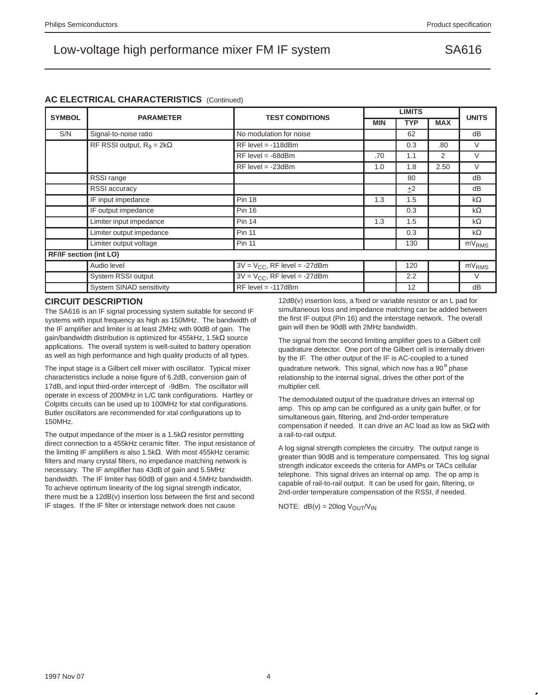### **AC ELECTRICAL CHARACTERISTICS** (Continued)

| <b>SYMBOL</b>                 | <b>PARAMETER</b>                 | <b>TEST CONDITIONS</b>            | <b>LIMITS</b> |            |            |                   |
|-------------------------------|----------------------------------|-----------------------------------|---------------|------------|------------|-------------------|
|                               |                                  |                                   | <b>MIN</b>    | <b>TYP</b> | <b>MAX</b> | <b>UNITS</b>      |
| S/N                           | Signal-to-noise ratio            | No modulation for noise           |               | 62         |            | dB                |
|                               | RF RSSI output, $R_9 = 2k\Omega$ | $RF$ level = -118dBm              |               | 0.3        | .80        | V                 |
|                               |                                  | $RF$ level = -68dBm               | .70           | 1.1        | 2          | $\vee$            |
|                               |                                  | $RF$ level = -23dBm               | 1.0           | 1.8        | 2.50       | $\vee$            |
|                               | RSSI range                       |                                   |               | 80         |            | dB                |
|                               | <b>RSSI</b> accuracy             |                                   |               | ±2         |            | dB                |
|                               | IF input impedance               | <b>Pin 18</b>                     | 1.3           | 1.5        |            | $k\Omega$         |
|                               | IF output impedance              | <b>Pin 16</b>                     |               | 0.3        |            | $k\Omega$         |
|                               | Limiter input impedance          | <b>Pin 14</b>                     | 1.3           | 1.5        |            | $k\Omega$         |
|                               | Limiter output impedance         | <b>Pin 11</b>                     |               | 0.3        |            | k $\Omega$        |
|                               | Limiter output voltage           | <b>Pin 11</b>                     |               | 130        |            | mV <sub>RMS</sub> |
| <b>RF/IF section (int LO)</b> |                                  |                                   |               |            |            |                   |
|                               | Audio level                      | $3V = V_{CC}$ , RF level = -27dBm |               | 120        |            | mV <sub>RMS</sub> |
|                               | System RSSI output               | $3V = V_{CC}$ , RF level = -27dBm |               | 2.2        |            | V                 |
|                               | System SINAD sensitivity         | $RF$ level = -117dBm              |               | 12         |            | dB                |

### **CIRCUIT DESCRIPTION**

The SA616 is an IF signal processing system suitable for second IF systems with input frequency as high as 150MHz. The bandwidth of the IF amplifier and limiter is at least 2MHz with 90dB of gain. The gain/bandwidth distribution is optimized for 455kHz, 1.5kΩ source applications. The overall system is well-suited to battery operation as well as high performance and high quality products of all types.

The input stage is a Gilbert cell mixer with oscillator. Typical mixer characteristics include a noise figure of 6.2dB, conversion gain of 17dB, and input third-order intercept of -9dBm. The oscillator will operate in excess of 200MHz in L/C tank configurations. Hartley or Colpitts circuits can be used up to 100MHz for xtal configurations. Butler oscillators are recommended for xtal configurations up to 150MHz.

The output impedance of the mixer is a 1.5k $\Omega$  resistor permitting direct connection to a 455kHz ceramic filter. The input resistance of the limiting IF amplifiers is also 1.5kΩ. With most 455kHz ceramic filters and many crystal filters, no impedance matching network is necessary. The IF amplifier has 43dB of gain and 5.5MHz bandwidth. The IF limiter has 60dB of gain and 4.5MHz bandwidth. To achieve optimum linearity of the log signal strength indicator, there must be a 12dB(v) insertion loss between the first and second IF stages. If the IF filter or interstage network does not cause

12dB(v) insertion loss, a fixed or variable resistor or an L pad for simultaneous loss and impedance matching can be added between the first IF output (Pin 16) and the interstage network. The overall gain will then be 90dB with 2MHz bandwidth.

The signal from the second limiting amplifier goes to a Gilbert cell quadrature detector. One port of the Gilbert cell is internally driven by the IF. The other output of the IF is AC-coupled to a tuned quadrature network. This signal, which now has a 90° phase relationship to the internal signal, drives the other port of the multiplier cell.

The demodulated output of the quadrature drives an internal op amp. This op amp can be configured as a unity gain buffer, or for simultaneous gain, filtering, and 2nd-order temperature compensation if needed. It can drive an AC load as low as 5kΩ with a rail-to-rail output.

A log signal strength completes the circuitry. The output range is greater than 90dB and is temperature compensated. This log signal strength indicator exceeds the criteria for AMPs or TACs cellular telephone. This signal drives an internal op amp. The op amp is capable of rail-to-rail output. It can be used for gain, filtering, or 2nd-order temperature compensation of the RSSI, if needed.

NOTE:  $dB(v) = 20log V_{OUT}/V_{IN}$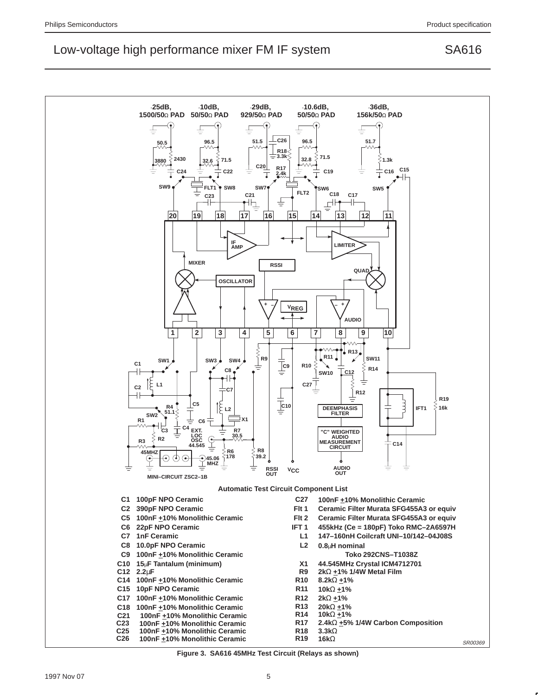

**Figure 3. SA616 45MHz Test Circuit (Relays as shown)**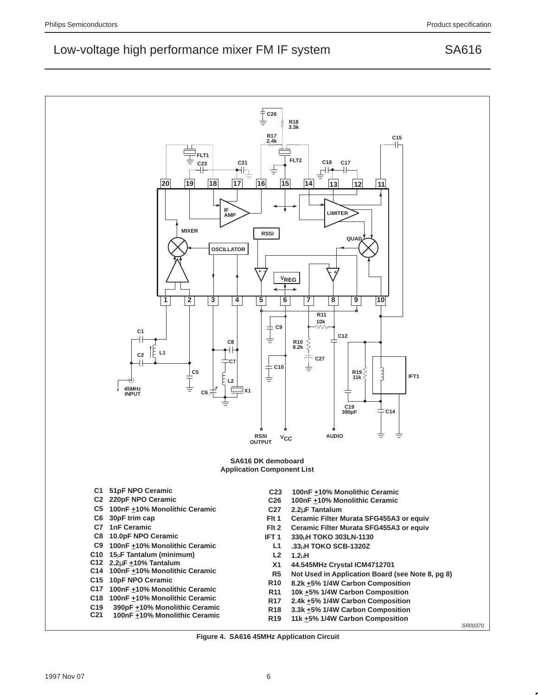

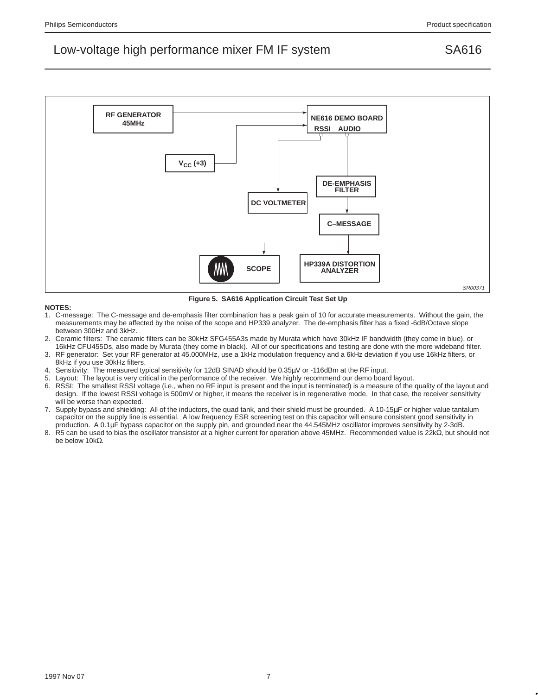

**Figure 5. SA616 Application Circuit Test Set Up**

### **NOTES:**

- 1. C-message: The C-message and de-emphasis filter combination has a peak gain of 10 for accurate measurements. Without the gain, the measurements may be affected by the noise of the scope and HP339 analyzer. The de-emphasis filter has a fixed -6dB/Octave slope between 300Hz and 3kHz.
- 2. Ceramic filters: The ceramic filters can be 30kHz SFG455A3s made by Murata which have 30kHz IF bandwidth (they come in blue), or 16kHz CFU455Ds, also made by Murata (they come in black). All of our specifications and testing are done with the more wideband filter.
- 3. RF generator: Set your RF generator at 45.000MHz, use a 1kHz modulation frequency and a 6kHz deviation if you use 16kHz filters, or 8kHz if you use 30kHz filters.
- 4. Sensitivity: The measured typical sensitivity for 12dB SINAD should be 0.35µV or -116dBm at the RF input.
- 5. Layout: The layout is very critical in the performance of the receiver. We highly recommend our demo board layout.
- 6. RSSI: The smallest RSSI voltage (i.e., when no RF input is present and the input is terminated) is a measure of the quality of the layout and design. If the lowest RSSI voltage is 500mV or higher, it means the receiver is in regenerative mode. In that case, the receiver sensitivity will be worse than expected.
- 7. Supply bypass and shielding: All of the inductors, the quad tank, and their shield must be grounded. A 10-15µF or higher value tantalum capacitor on the supply line is essential. A low frequency ESR screening test on this capacitor will ensure consistent good sensitivity in production. A 0.1µF bypass capacitor on the supply pin, and grounded near the 44.545MHz oscillator improves sensitivity by 2-3dB.
- 8. R5 can be used to bias the oscillator transistor at a higher current for operation above 45MHz. Recommended value is 22kΩ, but should not be below 10kΩ.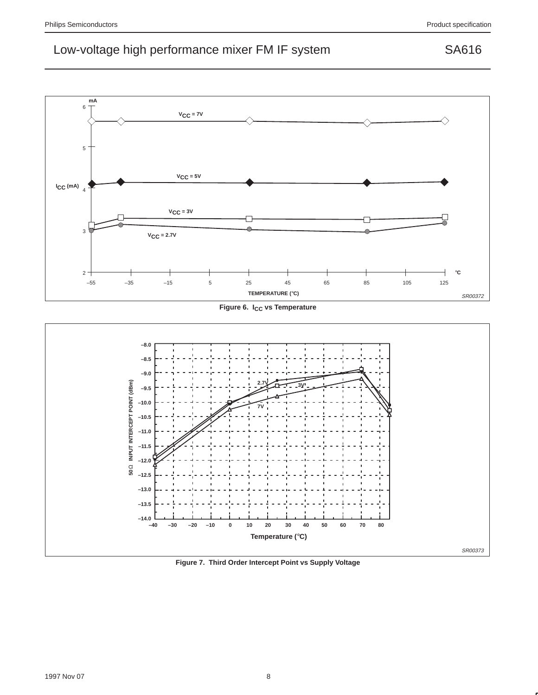

**Figure 6. I<sub>CC</sub> vs Temperature** 



**Figure 7. Third Order Intercept Point vs Supply Voltage**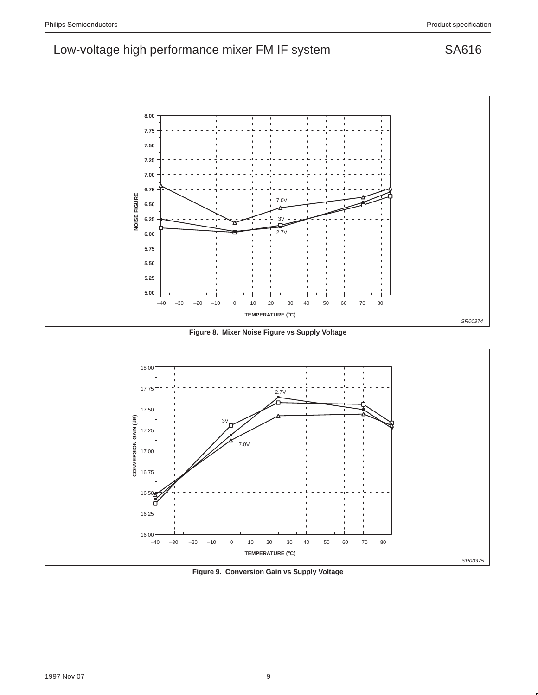

**Figure 8. Mixer Noise Figure vs Supply Voltage**



**Figure 9. Conversion Gain vs Supply Voltage**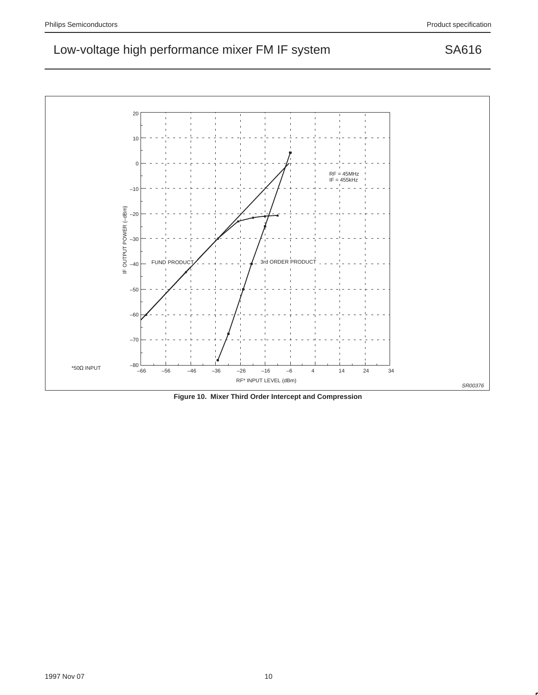

**Figure 10. Mixer Third Order Intercept and Compression**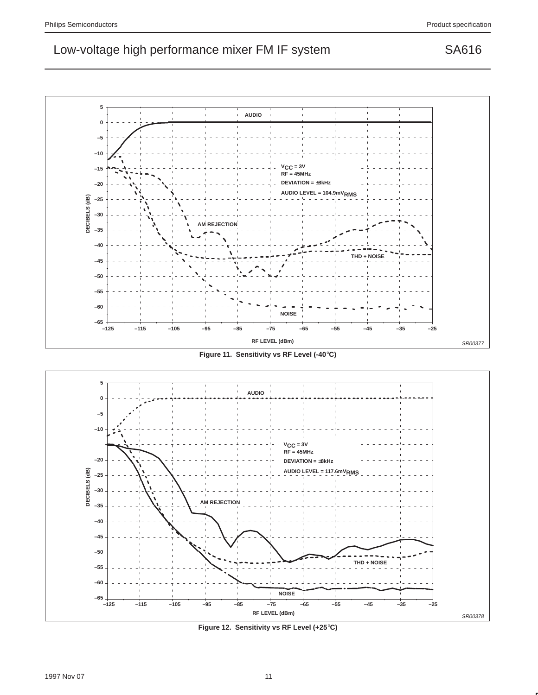**5 AUDIO 0 –5 –10 VCC = 3V –15 RF = 45MHz DEVIATION =** ±**8kHz –20 AUDIO LEVEL = 104.9mVRMS –25 –30 AM REJECTION –35 –40 THD + NOISE –45** ı **–50 –55 –60 NOISE –65 –125 –115 –105 –95 –85 –75 –65 –55 –45 –35 –25 RF LEVEL (dBm)** SR00377

**Figure 11. Sensitivity vs RF Level (-40**°**C)**



**Figure 12. Sensitivity vs RF Level (+25**°**C)**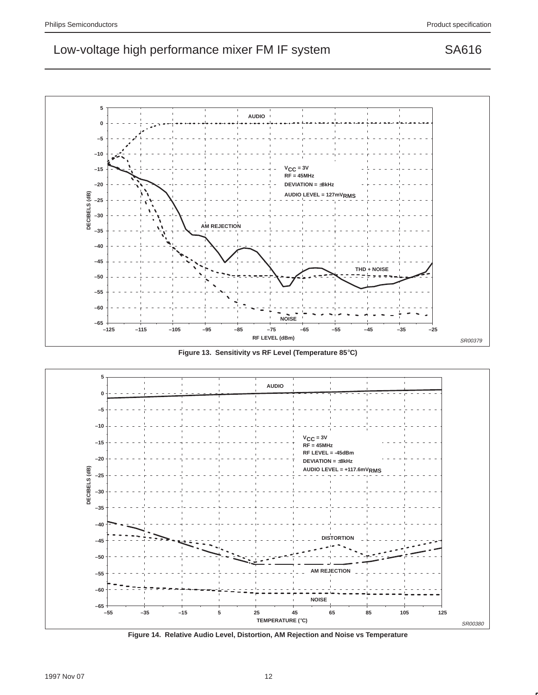

**Figure 13. Sensitivity vs RF Level (Temperature 85**°**C)**



**Figure 14. Relative Audio Level, Distortion, AM Rejection and Noise vs Temperature**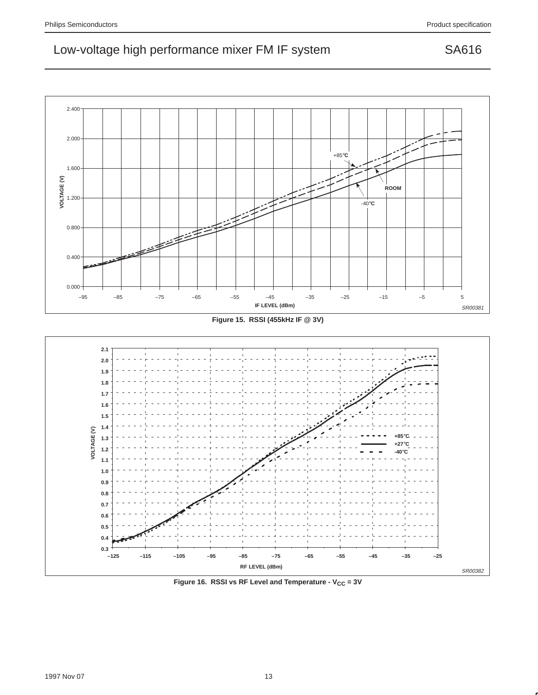





Figure 16. RSSI vs RF Level and Temperature - V<sub>CC</sub> = 3V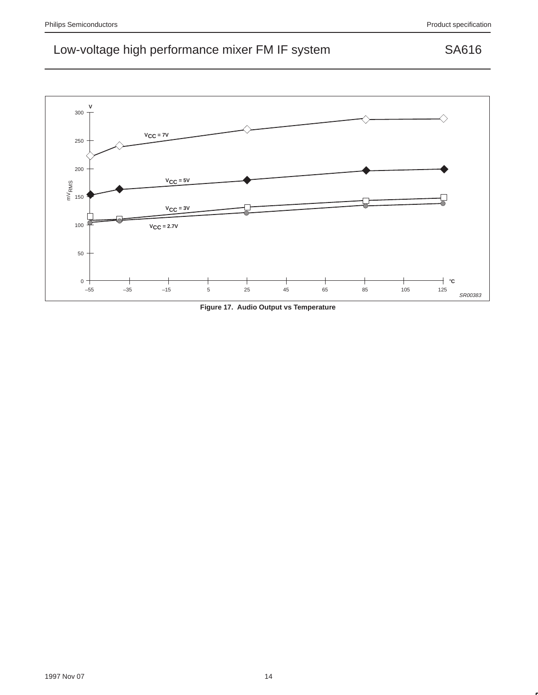

**Figure 17. Audio Output vs Temperature**

1997 Nov 07 14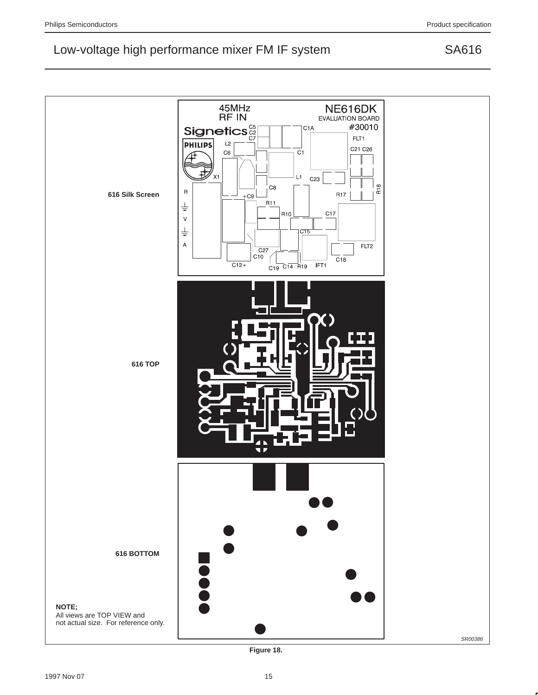

**Figure 18.**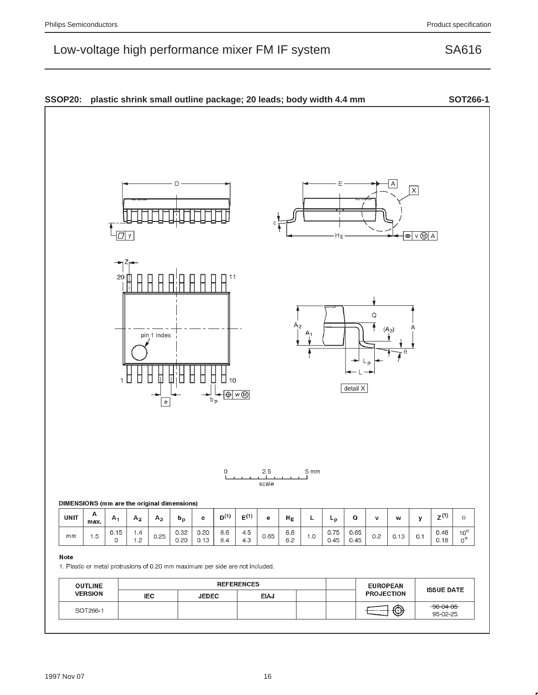